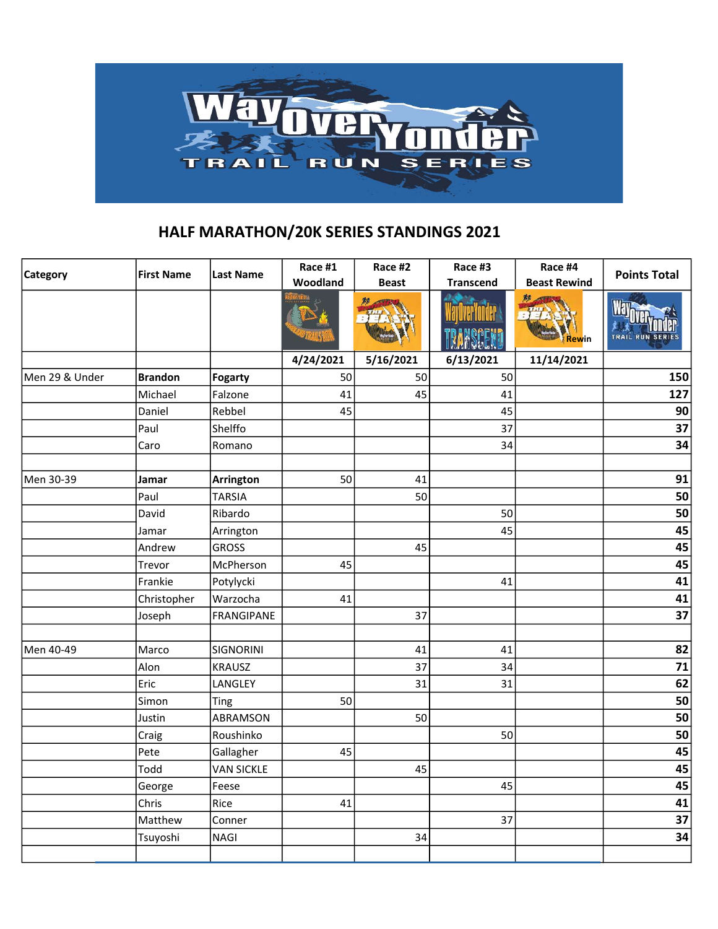

## HALF MARATHON/20K SERIES STANDINGS 2021

| <b>Category</b> | <b>First Name</b> | <b>Last Name</b>  | Race #1   | Race #2      | Race #3          | Race #4             |                     |  |
|-----------------|-------------------|-------------------|-----------|--------------|------------------|---------------------|---------------------|--|
|                 |                   |                   | Woodland  | <b>Beast</b> | <b>Transcend</b> | <b>Beast Rewind</b> | <b>Points Total</b> |  |
|                 |                   |                   |           |              |                  | 黥<br>Rewin          | TRAIL RUN SERIES    |  |
|                 |                   |                   | 4/24/2021 | 5/16/2021    | 6/13/2021        | 11/14/2021          |                     |  |
| Men 29 & Under  | <b>Brandon</b>    | <b>Fogarty</b>    | 50        | 50           | 50               |                     | 150                 |  |
|                 | Michael           | Falzone           | 41        | 45           | 41               |                     | 127                 |  |
|                 | Daniel            | Rebbel            | 45        |              | 45               |                     | 90                  |  |
|                 | Paul              | Shelffo           |           |              | 37               |                     | 37                  |  |
|                 | Caro              | Romano            |           |              | 34               |                     | 34                  |  |
|                 |                   |                   |           |              |                  |                     |                     |  |
| Men 30-39       | Jamar             | Arrington         | 50        | 41           |                  |                     | 91                  |  |
|                 | Paul              | <b>TARSIA</b>     |           | 50           |                  |                     | 50                  |  |
|                 | David             | Ribardo           |           |              | 50               |                     | 50                  |  |
|                 | Jamar             | Arrington         |           |              | 45               |                     | 45                  |  |
|                 | Andrew            | <b>GROSS</b>      |           | 45           |                  |                     | 45                  |  |
|                 | Trevor            | McPherson         | 45        |              |                  |                     | 45                  |  |
|                 | Frankie           | Potylycki         |           |              | 41               |                     | 41                  |  |
|                 | Christopher       | Warzocha          | 41        |              |                  |                     | 41                  |  |
|                 | Joseph            | FRANGIPANE        |           | 37           |                  |                     | 37                  |  |
|                 |                   |                   |           |              |                  |                     |                     |  |
| Men 40-49       | Marco             | <b>SIGNORINI</b>  |           | 41           | 41               |                     | 82                  |  |
|                 | Alon              | <b>KRAUSZ</b>     |           | 37           | 34               |                     | 71                  |  |
|                 | Eric              | LANGLEY           |           | 31           | 31               |                     | 62                  |  |
|                 | Simon             | Ting              | 50        |              |                  |                     | 50                  |  |
|                 | Justin            | ABRAMSON          |           | 50           |                  |                     | 50                  |  |
|                 | Craig             | Roushinko         |           |              | 50               |                     | 50                  |  |
|                 | Pete              | Gallagher         | 45        |              |                  |                     | 45                  |  |
|                 | Todd              | <b>VAN SICKLE</b> |           | 45           |                  |                     | 45                  |  |
|                 | George            | Feese             |           |              | 45               |                     | 45                  |  |
|                 | Chris             | Rice              | 41        |              |                  |                     | 41                  |  |
|                 | Matthew           | Conner            |           |              | 37               |                     | 37                  |  |
|                 | Tsuyoshi          | <b>NAGI</b>       |           | 34           |                  |                     | 34                  |  |
|                 |                   |                   |           |              |                  |                     |                     |  |